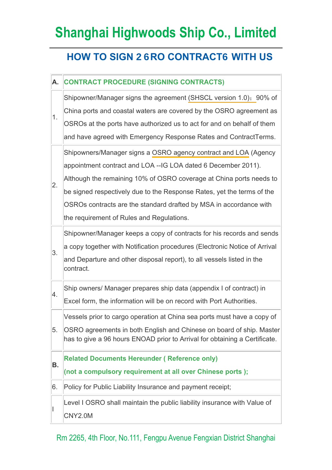## **Shanghai Highwoods Ship Co., Limited**

## **HOW TO SIGN 26RO CONTRACT6 WITH US**

## **A. CONTRACT PROCEDURE (SIGNING CONTRACTS)**  1. Shipowner/Manager signs the agreement [\(SHSCL version 1.0\)](http://www.shorefacility.com/IG%20Sample%20Agreement.pdf); 90% of China ports and coastal waters are covered by the OSRO agreement as OSROs at the ports have authorized us to act for and on behalf of them and have agreed with Emergency Response Rates and ContractTerms. 2. Shipowners/Manager signs a [OSRO agency contract and LOA](http://www.shorefacility.com/IG%20Sample%20Agreement.pdf) (Agency appointment contract and LOA --IG LOA dated 6 December 2011). Although the remaining 10% of OSRO coverage at China ports needs to be signed respectively due to the Response Rates, yet the terms of the OSROs contracts are the standard drafted by MSA in accordance with the requirement of Rules and Regulations. 3. Shipowner/Manager keeps a copy of contracts for his records and sends a copy together with Notification procedures (Electronic Notice of Arrival and Departure and other disposal report), to all vessels listed in the contract. 4. Ship owners/ Manager prepares ship data (appendix I of contract) in Excel form, the information will be on record with Port Authorities. 5. Vessels prior to cargo operation at China sea ports must have a copy of OSRO agreements in both English and Chinese on board of ship. Master has to give a 96 hours ENOAD prior to Arrival for obtaining a Certificate. **B. Related Documents Hereunder ( Reference only) (not a compulsory requirement at all over Chinese ports );**  6. Policy for Public Liability Insurance and payment receipt; I Level I OSRO shall maintain the public liability insurance with Value of CNY2.0M

Rm 2265, 4th Floor, No.111, Fengpu Avenue Fengxian District Shanghai